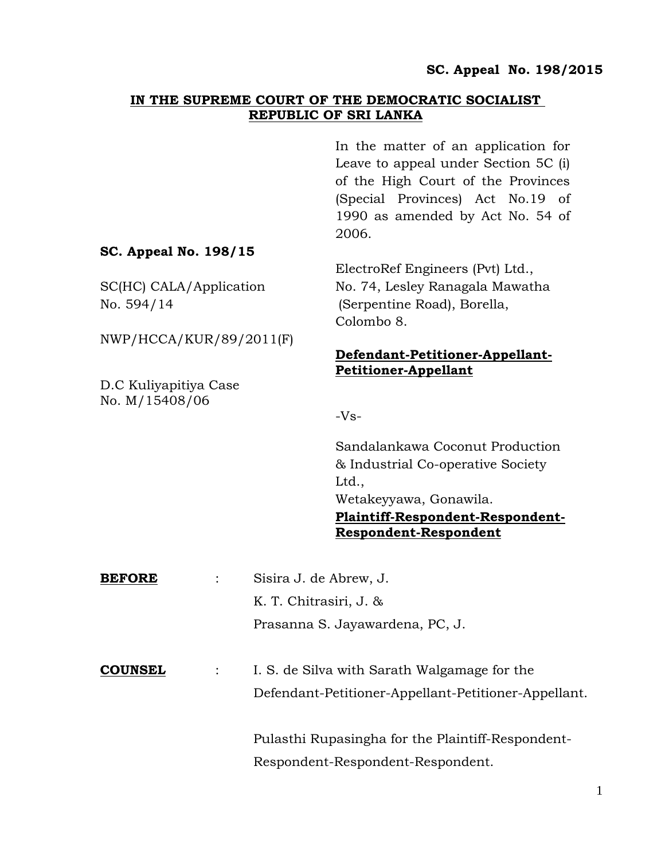#### **IN THE SUPREME COURT OF THE DEMOCRATIC SOCIALIST REPUBLIC OF SRI LANKA**

In the matter of an application for Leave to appeal under Section 5C (i) of the High Court of the Provinces (Special Provinces) Act No.19 of 1990 as amended by Act No. 54 of 2006.

### **SC. Appeal No. 198/15**

NWP/HCCA/KUR/89/2011(F)

D.C Kuliyapitiya Case No. M/15408/06

# ElectroRef Engineers (Pvt) Ltd., SC(HC) CALA/Application No. 74, Lesley Ranagala Mawatha No. 594/14 (Serpentine Road), Borella, Colombo 8.

### **Defendant-Petitioner-Appellant-Petitioner-Appellant**

 $-Vs-$ 

Sandalankawa Coconut Production & Industrial Co-operative Society Ltd., Wetakeyyawa, Gonawila. **Plaintiff-Respondent-Respondent-Respondent-Respondent**

| <b>BEFORE</b>  | Sisira J. de Abrew, J.                               |
|----------------|------------------------------------------------------|
|                | K. T. Chitrasiri, J. &                               |
|                | Prasanna S. Jayawardena, PC, J.                      |
|                |                                                      |
| <b>COUNSEL</b> | I. S. de Silva with Sarath Walgamage for the         |
|                | Defendant-Petitioner-Appellant-Petitioner-Appellant. |
|                |                                                      |
|                | Pulasthi Rupasingha for the Plaintiff-Respondent-    |
|                | Respondent-Respondent-Respondent.                    |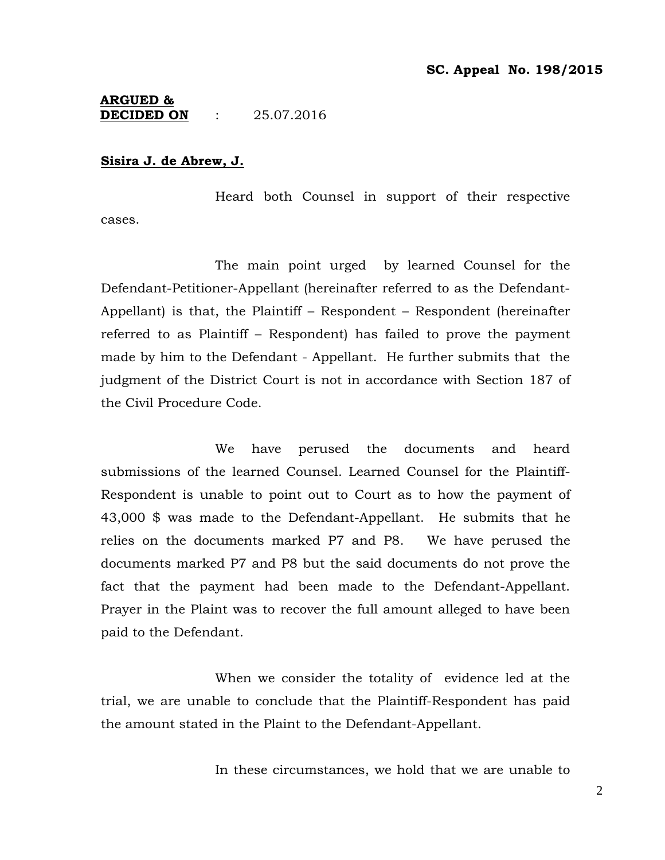#### **ARGUED & DECIDED ON** : 25.07.2016

#### **Sisira J. de Abrew, J.**

Heard both Counsel in support of their respective cases.

The main point urged by learned Counsel for the Defendant-Petitioner-Appellant (hereinafter referred to as the Defendant-Appellant) is that, the Plaintiff – Respondent – Respondent (hereinafter referred to as Plaintiff – Respondent) has failed to prove the payment made by him to the Defendant - Appellant. He further submits that the judgment of the District Court is not in accordance with Section 187 of the Civil Procedure Code.

We have perused the documents and heard submissions of the learned Counsel. Learned Counsel for the Plaintiff-Respondent is unable to point out to Court as to how the payment of 43,000 \$ was made to the Defendant-Appellant. He submits that he relies on the documents marked P7 and P8. We have perused the documents marked P7 and P8 but the said documents do not prove the fact that the payment had been made to the Defendant-Appellant. Prayer in the Plaint was to recover the full amount alleged to have been paid to the Defendant.

When we consider the totality of evidence led at the trial, we are unable to conclude that the Plaintiff-Respondent has paid the amount stated in the Plaint to the Defendant-Appellant.

In these circumstances, we hold that we are unable to